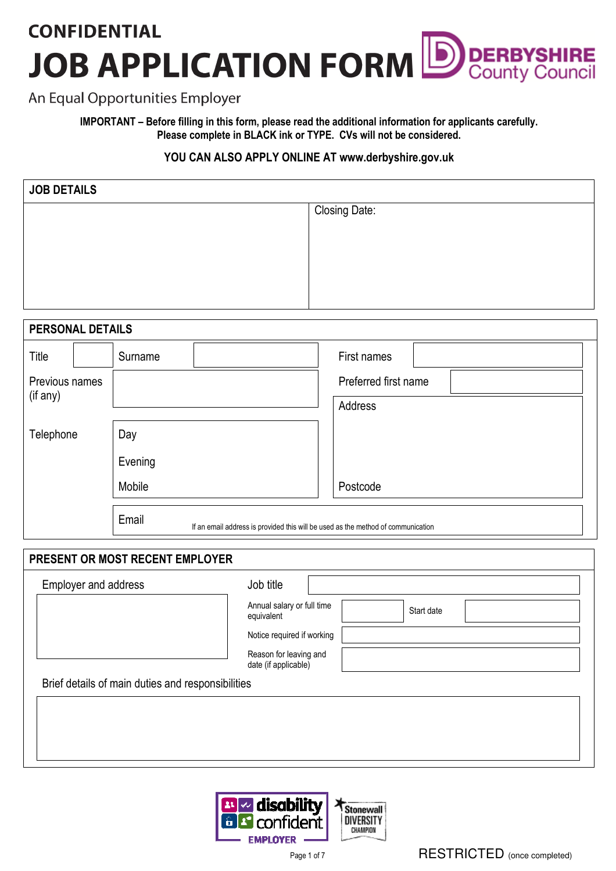## **CONFIDENTIAL JOB APPLICATION FORM DERBYSHIRE**

### An Equal Opportunities Employer

IMPORTANT – Before filling in this form, please read the additional information for applicants carefully. Please complete in BLACK ink or TYPE. CVs will not be considered.

### YOU CAN ALSO APPLY ONLINE AT www.derbyshire.gov.uk

| <b>Closing Date:</b> |
|----------------------|
|                      |
|                      |
|                      |
|                      |
|                      |

| PERSONAL DETAILS |                                                                                           |                      |  |  |
|------------------|-------------------------------------------------------------------------------------------|----------------------|--|--|
| Title            | Surname                                                                                   | First names          |  |  |
| Previous names   |                                                                                           | Preferred first name |  |  |
| (if any)         |                                                                                           | Address              |  |  |
| Telephone        | Day                                                                                       |                      |  |  |
|                  | Evening                                                                                   |                      |  |  |
|                  | Mobile                                                                                    | Postcode             |  |  |
|                  | Email<br>If an email address is provided this will be used as the method of communication |                      |  |  |

| PRESENT OR MOST RECENT EMPLOYER                   |                                                |  |            |  |  |
|---------------------------------------------------|------------------------------------------------|--|------------|--|--|
| Employer and address                              | Job title                                      |  |            |  |  |
|                                                   | Annual salary or full time<br>equivalent       |  | Start date |  |  |
|                                                   | Notice required if working                     |  |            |  |  |
|                                                   | Reason for leaving and<br>date (if applicable) |  |            |  |  |
| Brief details of main duties and responsibilities |                                                |  |            |  |  |
|                                                   |                                                |  |            |  |  |
|                                                   |                                                |  |            |  |  |
|                                                   |                                                |  |            |  |  |
|                                                   |                                                |  |            |  |  |

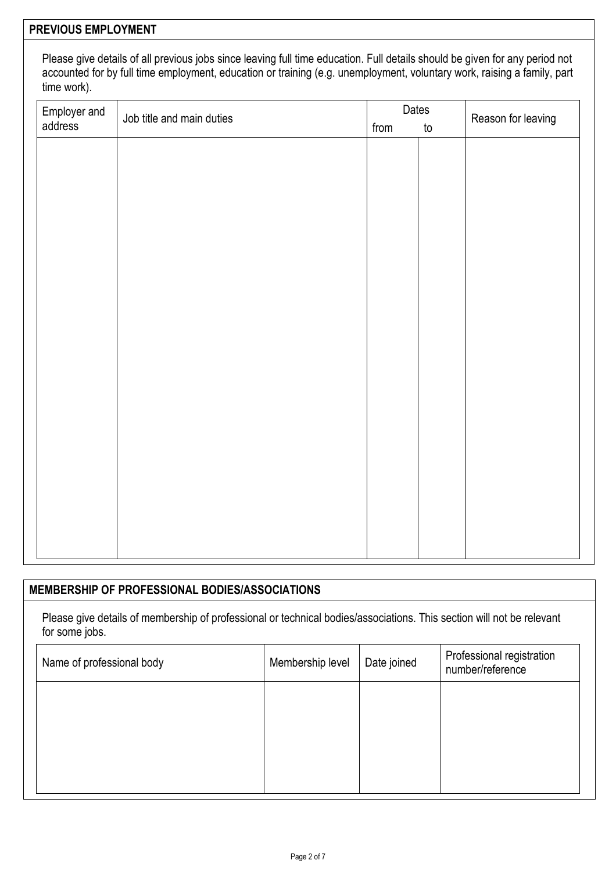### PREVIOUS EMPLOYMENT

Please give details of all previous jobs since leaving full time education. Full details should be given for any period not accounted for by full time employment, education or training (e.g. unemployment, voluntary work, raising a family, part time work).

| Employer and<br>address | Job title and main duties | Dates<br>from |               | Reason for leaving |
|-------------------------|---------------------------|---------------|---------------|--------------------|
|                         |                           |               | $\mathsf{to}$ |                    |
|                         |                           |               |               |                    |
|                         |                           |               |               |                    |
|                         |                           |               |               |                    |
|                         |                           |               |               |                    |
|                         |                           |               |               |                    |
|                         |                           |               |               |                    |
|                         |                           |               |               |                    |
|                         |                           |               |               |                    |
|                         |                           |               |               |                    |
|                         |                           |               |               |                    |
|                         |                           |               |               |                    |
|                         |                           |               |               |                    |
|                         |                           |               |               |                    |
|                         |                           |               |               |                    |
|                         |                           |               |               |                    |
|                         |                           |               |               |                    |
|                         |                           |               |               |                    |
|                         |                           |               |               |                    |
|                         |                           |               |               |                    |
|                         |                           |               |               |                    |

### MEMBERSHIP OF PROFESSIONAL BODIES/ASSOCIATIONS

Please give details of membership of professional or technical bodies/associations. This section will not be relevant for some jobs.

| Name of professional body | Membership level | Date joined | Professional registration<br>number/reference |
|---------------------------|------------------|-------------|-----------------------------------------------|
|                           |                  |             |                                               |
|                           |                  |             |                                               |
|                           |                  |             |                                               |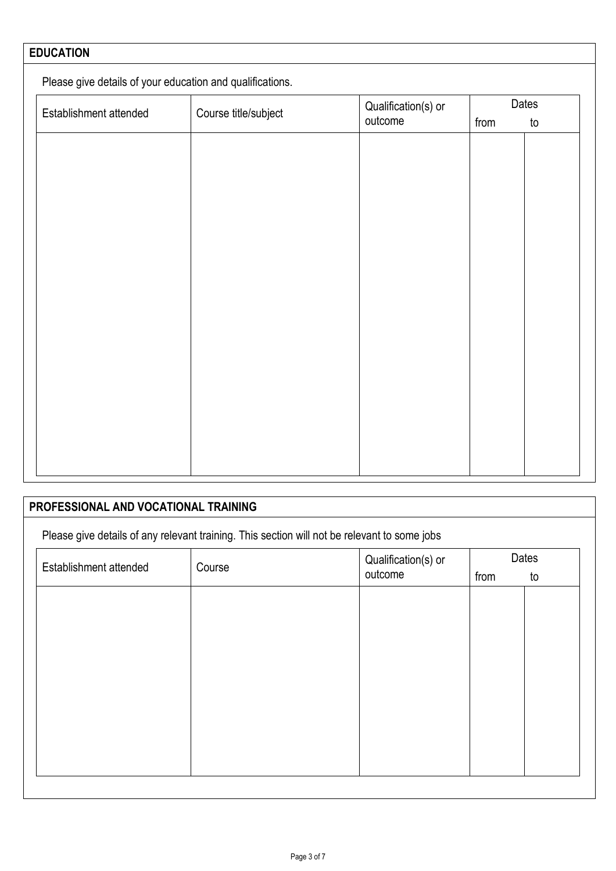# EDUCATION Please give details of your education and qualifications. Establishment attended Course title/subject Qualification(s) or outcome Dates from to

| PROFESSIONAL AND VOCATIONAL TRAINING |        |                                                                                              |  |             |
|--------------------------------------|--------|----------------------------------------------------------------------------------------------|--|-------------|
|                                      |        | Please give details of any relevant training. This section will not be relevant to some jobs |  |             |
| Establishment attended               | Course | Qualification(s) or<br>outcome<br>from                                                       |  | Dates<br>to |
|                                      |        |                                                                                              |  |             |
|                                      |        |                                                                                              |  |             |
|                                      |        |                                                                                              |  |             |
|                                      |        |                                                                                              |  |             |
|                                      |        |                                                                                              |  |             |
|                                      |        |                                                                                              |  |             |
|                                      |        |                                                                                              |  |             |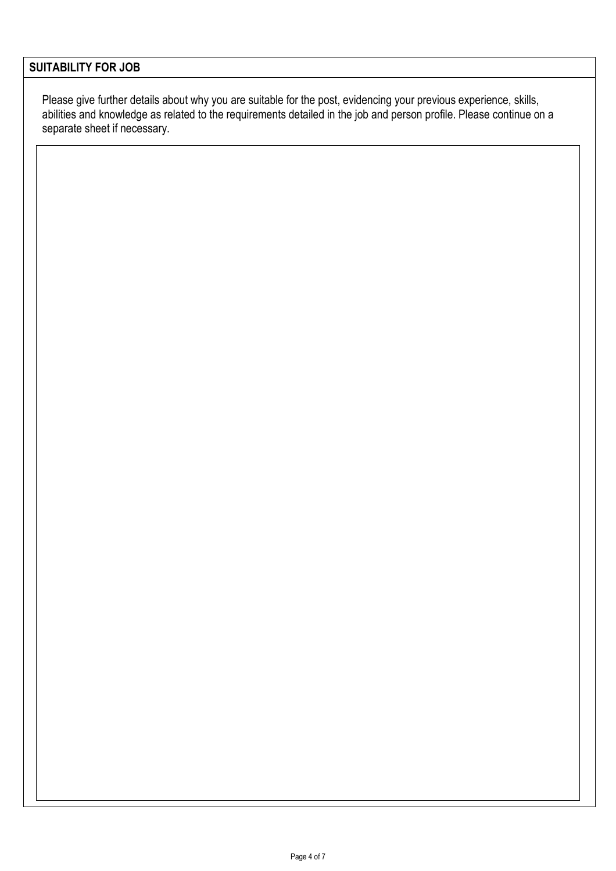### SUITABILITY FOR JOB

Please give further details about why you are suitable for the post, evidencing your previous experience, skills, abilities and knowledge as related to the requirements detailed in the job and person profile. Please continue on a separate sheet if necessary.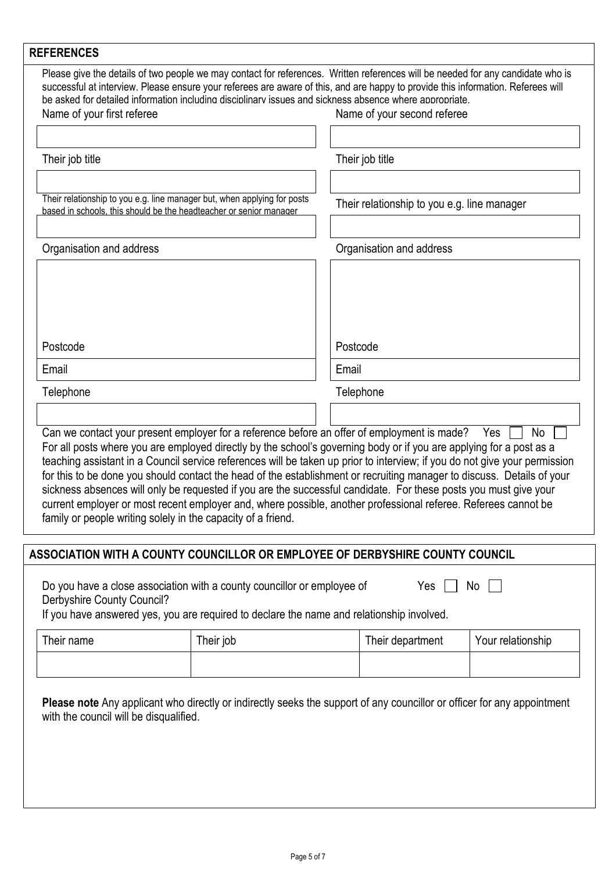| <b>REFERENCES</b>                                                                                                                                                                                                                                                                                                                                                                                                                                                                                                                                                                                                                                                                                                                                                                |                                             |
|----------------------------------------------------------------------------------------------------------------------------------------------------------------------------------------------------------------------------------------------------------------------------------------------------------------------------------------------------------------------------------------------------------------------------------------------------------------------------------------------------------------------------------------------------------------------------------------------------------------------------------------------------------------------------------------------------------------------------------------------------------------------------------|---------------------------------------------|
| Please give the details of two people we may contact for references. Written references will be needed for any candidate who is<br>successful at interview. Please ensure your referees are aware of this, and are happy to provide this information. Referees will<br>be asked for detailed information including disciplinary issues and sickness absence where appropriate.                                                                                                                                                                                                                                                                                                                                                                                                   |                                             |
| Name of your first referee                                                                                                                                                                                                                                                                                                                                                                                                                                                                                                                                                                                                                                                                                                                                                       | Name of your second referee                 |
|                                                                                                                                                                                                                                                                                                                                                                                                                                                                                                                                                                                                                                                                                                                                                                                  |                                             |
| Their job title                                                                                                                                                                                                                                                                                                                                                                                                                                                                                                                                                                                                                                                                                                                                                                  | Their job title                             |
| Their relationship to you e.g. line manager but, when applying for posts<br>based in schools, this should be the headteacher or senior manager                                                                                                                                                                                                                                                                                                                                                                                                                                                                                                                                                                                                                                   | Their relationship to you e.g. line manager |
| Organisation and address                                                                                                                                                                                                                                                                                                                                                                                                                                                                                                                                                                                                                                                                                                                                                         | Organisation and address                    |
| Postcode<br>Email                                                                                                                                                                                                                                                                                                                                                                                                                                                                                                                                                                                                                                                                                                                                                                | Postcode<br>Email                           |
|                                                                                                                                                                                                                                                                                                                                                                                                                                                                                                                                                                                                                                                                                                                                                                                  |                                             |
| Telephone                                                                                                                                                                                                                                                                                                                                                                                                                                                                                                                                                                                                                                                                                                                                                                        | Telephone                                   |
| Can we contact your present employer for a reference before an offer of employment is made?<br>For all posts where you are employed directly by the school's governing body or if you are applying for a post as a<br>teaching assistant in a Council service references will be taken up prior to interview; if you do not give your permission<br>for this to be done you should contact the head of the establishment or recruiting manager to discuss. Details of your<br>sickness absences will only be requested if you are the successful candidate. For these posts you must give your<br>current employer or most recent employer and, where possible, another professional referee. Referees cannot be<br>family or people writing solely in the capacity of a friend. | <b>No</b><br>Yes                            |
| ASSOCIATION WITH A COUNTY COUNCILLOR OR EMPLOYEE OF DERBYSHIRE COUNTY COUNCIL                                                                                                                                                                                                                                                                                                                                                                                                                                                                                                                                                                                                                                                                                                    |                                             |
| Do you have a close association with a county councillor or employee of                                                                                                                                                                                                                                                                                                                                                                                                                                                                                                                                                                                                                                                                                                          | No<br>Yes                                   |

Derbyshire County Council? If you have answered yes, you are required to declare the name and relationship involved.

| Their name | Their job | Their department | Your relationship |
|------------|-----------|------------------|-------------------|
|            |           |                  |                   |

Please note Any applicant who directly or indirectly seeks the support of any councillor or officer for any appointment with the council will be disqualified.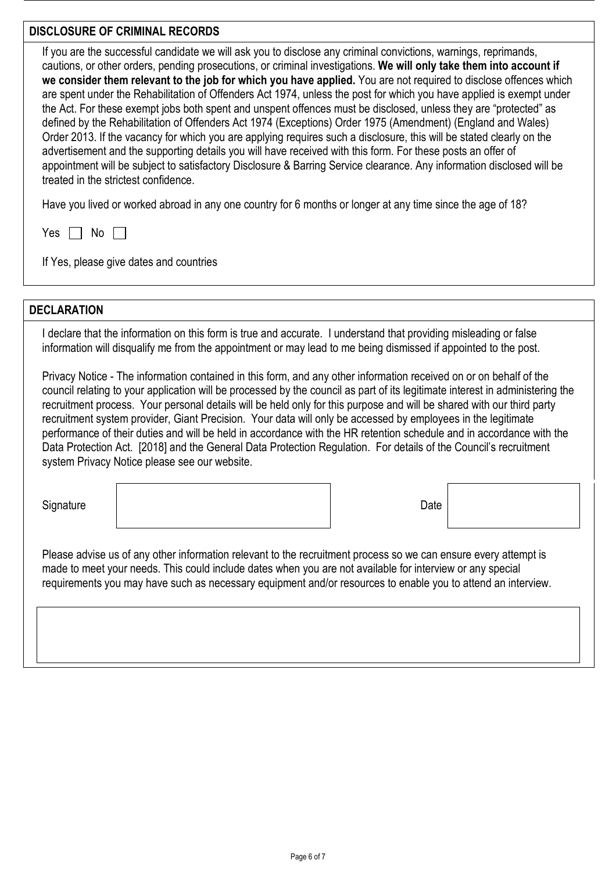### DISCLOSURE OF CRIMINAL RECORDS

If you are the successful candidate we will ask you to disclose any criminal convictions, warnings, reprimands, cautions, or other orders, pending prosecutions, or criminal investigations. We will only take them into account if we consider them relevant to the job for which you have applied. You are not required to disclose offences which are spent under the Rehabilitation of Offenders Act 1974, unless the post for which you have applied is exempt under the Act. For these exempt jobs both spent and unspent offences must be disclosed, unless they are "protected" as defined by the Rehabilitation of Offenders Act 1974 (Exceptions) Order 1975 (Amendment) (England and Wales) Order 2013. If the vacancy for which you are applying requires such a disclosure, this will be stated clearly on the advertisement and the supporting details you will have received with this form. For these posts an offer of appointment will be subject to satisfactory Disclosure & Barring Service clearance. Any information disclosed will be treated in the strictest confidence.

Have you lived or worked abroad in any one country for 6 months or longer at any time since the age of 18?

Yes  $\Box$  No  $\Box$ 

If Yes, please give dates and countries

### **DECLARATION**

I declare that the information on this form is true and accurate. I understand that providing misleading or false information will disqualify me from the appointment or may lead to me being dismissed if appointed to the post.

Privacy Notice - The information contained in this form, and any other information received on or on behalf of the council relating to your application will be processed by the council as part of its legitimate interest in administering the recruitment process. Your personal details will be held only for this purpose and will be shared with our third party recruitment system provider, Giant Precision. Your data will only be accessed by employees in the legitimate performance of their duties and will be held in accordance with the HR retention schedule and in accordance with the Data Protection Act. [2018] and the General Data Protection Regulation. For details of the Council's recruitment system Privacy Notice please see our website.

Signature | Date | Date | Date | Date | Date | Date | Date | Date | Date | Date | Date | Date | Date | Date | D

Please advise us of any other information relevant to the recruitment process so we can ensure every attempt is made to meet your needs. This could include dates when you are not available for interview or any special requirements you may have such as necessary equipment and/or resources to enable you to attend an interview.